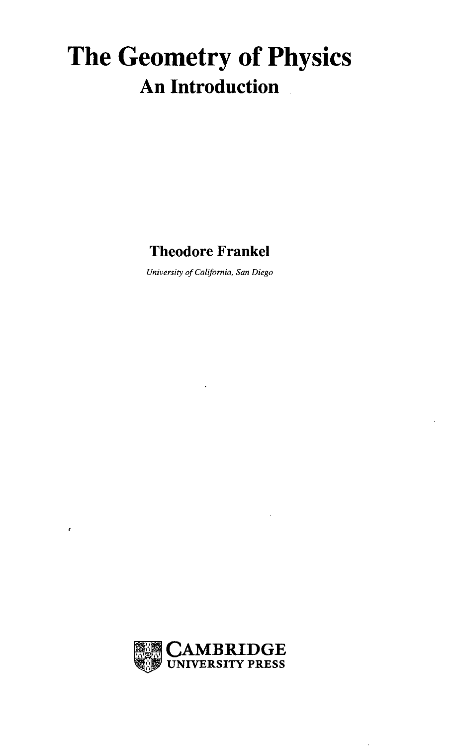## The Geometry of Physics **An Introduction**

### Theodore Frankel

*University of California, San Diego*



 $\epsilon$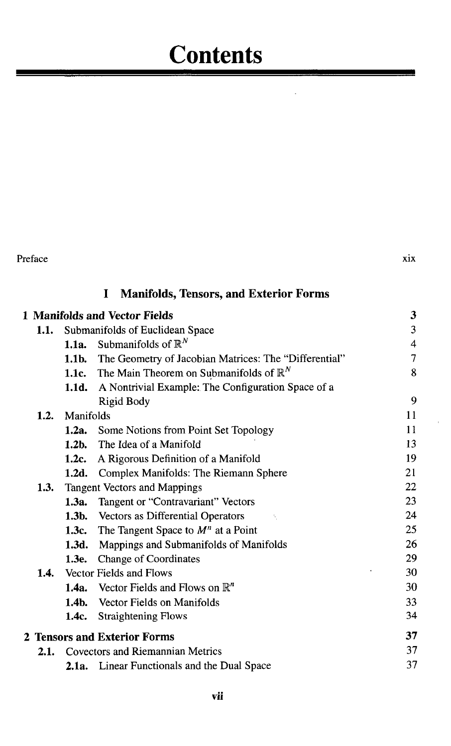# **Contents**

| X1X |
|-----|
|     |

### I Manifolds, Tensors, and Exterior Forms

|      |                  | 1 Manifolds and Vector Fields                                   | 3  |
|------|------------------|-----------------------------------------------------------------|----|
| 1.1. |                  | Submanifolds of Euclidean Space                                 | 3  |
|      | 1.1a.            | Submanifolds of $\mathbb{R}^N$                                  | 4  |
|      | 1.1 <sub>b</sub> | The Geometry of Jacobian Matrices: The "Differential"           | 7  |
|      |                  | <b>1.1c.</b> The Main Theorem on Submanifolds of $\mathbb{R}^N$ | 8  |
|      | 1.1d.            | A Nontrivial Example: The Configuration Space of a              |    |
|      |                  | Rigid Body                                                      | 9  |
| 1.2. | Manifolds        |                                                                 | 11 |
|      | 1.2a.            | Some Notions from Point Set Topology                            | 11 |
|      | 1.2 <sub>b</sub> | The Idea of a Manifold                                          | 13 |
|      | 1.2c.            | A Rigorous Definition of a Manifold                             | 19 |
|      |                  | 1.2d. Complex Manifolds: The Riemann Sphere                     | 21 |
| 1.3. |                  | <b>Tangent Vectors and Mappings</b>                             | 22 |
|      | 1.3a.            | Tangent or "Contravariant" Vectors                              | 23 |
|      |                  | <b>1.3b.</b> Vectors as Differential Operators                  | 24 |
|      | 1.3c.            | The Tangent Space to $Mn$ at a Point                            | 25 |
|      | 1.3d.            | Mappings and Submanifolds of Manifolds                          | 26 |
|      | 1.3e.            | <b>Change of Coordinates</b>                                    | 29 |
|      |                  | <b>1.4.</b> Vector Fields and Flows                             | 30 |
|      |                  | <b>1.4a.</b> Vector Fields and Flows on $\mathbb{R}^n$          | 30 |
|      |                  | <b>1.4b.</b> Vector Fields on Manifolds                         | 33 |
|      | 1.4c.            | <b>Straightening Flows</b>                                      | 34 |
|      |                  | 2 Tensors and Exterior Forms                                    | 37 |
| 2.1. |                  | Covectors and Riemannian Metrics                                | 37 |
|      |                  | <b>2.1a.</b> Linear Functionals and the Dual Space              | 37 |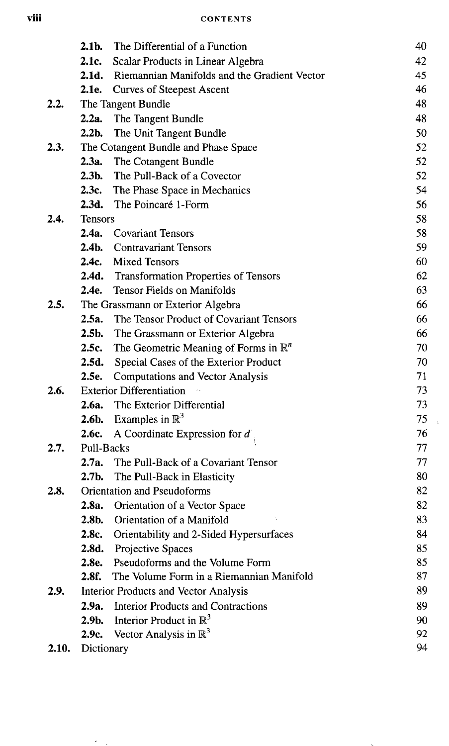#### **Vlll CONTENTS**

|       | $2.1b$ .       | The Differential of a Function                   | 40 |
|-------|----------------|--------------------------------------------------|----|
|       | 2.1c.          | Scalar Products in Linear Algebra                | 42 |
|       | 2.1d.          | Riemannian Manifolds and the Gradient Vector     | 45 |
|       |                | 2.1e. Curves of Steepest Ascent                  | 46 |
| 2.2.  |                | The Tangent Bundle                               | 48 |
|       |                | 2.2a. The Tangent Bundle                         | 48 |
|       | $2.2b$ .       | The Unit Tangent Bundle                          | 50 |
| 2.3.  |                | The Cotangent Bundle and Phase Space             | 52 |
|       | 2.3a.          | The Cotangent Bundle                             | 52 |
|       | $2.3b$ .       | The Pull-Back of a Covector                      | 52 |
|       | 2.3c.          | The Phase Space in Mechanics                     | 54 |
|       |                | 2.3d. The Poincaré 1-Form                        | 56 |
| 2.4.  | <b>Tensors</b> |                                                  | 58 |
|       | 2.4a.          | <b>Covariant Tensors</b>                         | 58 |
|       |                | 2.4b. Contravariant Tensors                      | 59 |
|       | 2.4c           | <b>Mixed Tensors</b>                             | 60 |
|       |                | 2.4d. Transformation Properties of Tensors       | 62 |
|       |                | 2.4e. Tensor Fields on Manifolds                 | 63 |
| 2.5.  |                | The Grassmann or Exterior Algebra                | 66 |
|       |                | 2.5a. The Tensor Product of Covariant Tensors    | 66 |
|       | $2.5b$ .       | The Grassmann or Exterior Algebra                | 66 |
|       | 2.5c.          | The Geometric Meaning of Forms in $\mathbb{R}^n$ | 70 |
|       | 2.5d.          | Special Cases of the Exterior Product            | 70 |
|       |                | 2.5e. Computations and Vector Analysis           | 71 |
| 2.6.  |                | <b>Exterior Differentiation</b>                  | 73 |
|       |                | 2.6a. The Exterior Differential                  | 73 |
|       |                | <b>2.6b.</b> Examples in $\mathbb{R}^3$          | 75 |
|       | 2.6c.          | A Coordinate Expression for $d$ ,                | 76 |
| 2.7.  | Pull-Backs     |                                                  | 77 |
|       | 2.7a.          | The Pull-Back of a Covariant Tensor              | 77 |
|       | $2.7b$ .       | The Pull-Back in Elasticity                      | 80 |
| 2.8.  |                | <b>Orientation and Pseudoforms</b>               | 82 |
|       | 2.8a.          | Orientation of a Vector Space                    | 82 |
|       | $2.8b$ .       | Orientation of a Manifold                        | 83 |
|       |                | 2.8c. Orientability and 2-Sided Hypersurfaces    | 84 |
|       | 2.8d.          | Projective Spaces                                | 85 |
|       | 2.8e.          | Pseudoforms and the Volume Form                  | 85 |
|       | 2.8f.          | The Volume Form in a Riemannian Manifold         | 87 |
| 2.9.  |                | Interior Products and Vector Analysis            | 89 |
|       | 2.9a.          | <b>Interior Products and Contractions</b>        | 89 |
|       | $2.9b$ .       | Interior Product in $\mathbb{R}^3$               | 90 |
|       | 2.9c.          | Vector Analysis in $\mathbb{R}^3$                | 92 |
| 2.10. | Dictionary     |                                                  | 94 |

 $\epsilon_{\rm max}$ 

 $\bar{\psi}$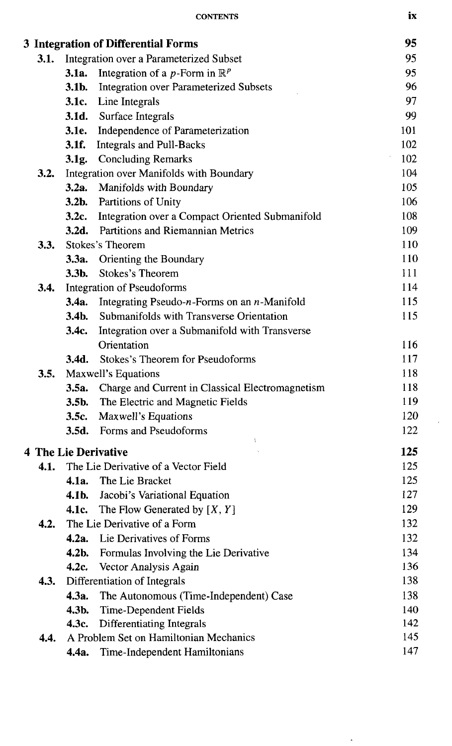|      |                  | 3 Integration of Differential Forms                    | 95  |
|------|------------------|--------------------------------------------------------|-----|
| 3.1. |                  | Integration over a Parameterized Subset                | 95  |
|      | 3.1a.            | Integration of a <i>p</i> -Form in $\mathbb{R}^p$      | 95  |
|      | $3.1b$ .         | <b>Integration over Parameterized Subsets</b>          | 96  |
|      |                  | <b>3.1c.</b> Line Integrals                            | 97  |
|      |                  | <b>3.1d.</b> Surface Integrals                         | 99  |
|      | 3.1e.            | Independence of Parameterization                       | 101 |
|      | 3.1f.            | <b>Integrals and Pull-Backs</b>                        | 102 |
|      |                  | 3.1g. Concluding Remarks                               | 102 |
| 3.2. |                  | Integration over Manifolds with Boundary               | 104 |
|      |                  | 3.2a. Manifolds with Boundary                          | 105 |
|      |                  | 3.2b. Partitions of Unity                              | 106 |
|      |                  | 3.2c. Integration over a Compact Oriented Submanifold  | 108 |
|      |                  | 3.2d. Partitions and Riemannian Metrics                | 109 |
| 3.3. |                  | <b>Stokes's Theorem</b>                                | 110 |
|      |                  | 3.3a. Orienting the Boundary                           | 110 |
|      | $3.3b$ .         | <b>Stokes's Theorem</b>                                | 111 |
| 3.4. |                  | <b>Integration of Pseudoforms</b>                      | 114 |
|      | 3.4a.            | Integrating Pseudo- $n$ -Forms on an $n$ -Manifold     | 115 |
|      | 3.4 <sub>b</sub> | Submanifolds with Transverse Orientation               | 115 |
|      | 3.4c.            | Integration over a Submanifold with Transverse         |     |
|      |                  | Orientation                                            | 116 |
|      |                  | <b>3.4d.</b> Stokes's Theorem for Pseudoforms          | 117 |
| 3.5. |                  | Maxwell's Equations                                    | 118 |
|      |                  | 3.5a. Charge and Current in Classical Electromagnetism | 118 |
|      |                  | <b>3.5b.</b> The Electric and Magnetic Fields          | 119 |
|      | 3.5c.            | Maxwell's Equations                                    | 120 |
|      |                  | <b>3.5d.</b> Forms and Pseudoforms                     | 122 |
|      |                  | <b>4 The Lie Derivative</b>                            | 125 |
| 4.1. |                  | The Lie Derivative of a Vector Field                   | 125 |
|      | 4.1a.            | The Lie Bracket                                        | 125 |
|      | 4.1b.            | Jacobi's Variational Equation                          | 127 |
|      | 4.1c.            | The Flow Generated by $[X, Y]$                         | 129 |
| 4.2. |                  | The Lie Derivative of a Form                           | 132 |
|      |                  | 4.2a. Lie Derivatives of Forms                         | 132 |
|      | $4.2b$ .         | Formulas Involving the Lie Derivative                  | 134 |
|      | 4.2c.            | Vector Analysis Again                                  | 136 |
| 4.3. |                  | Differentiation of Integrals                           | 138 |
|      | 4.3a.            | The Autonomous (Time-Independent) Case                 | 138 |
|      | $4.3b$ .         | Time-Dependent Fields                                  | 140 |
|      | 4.3c.            | Differentiating Integrals                              | 142 |
| 4.4. |                  | A Problem Set on Hamiltonian Mechanics                 | 145 |
|      |                  | 4.4a. Time-Independent Hamiltonians                    | 147 |

CONTENTS IX

 $\ddot{\phantom{0}}$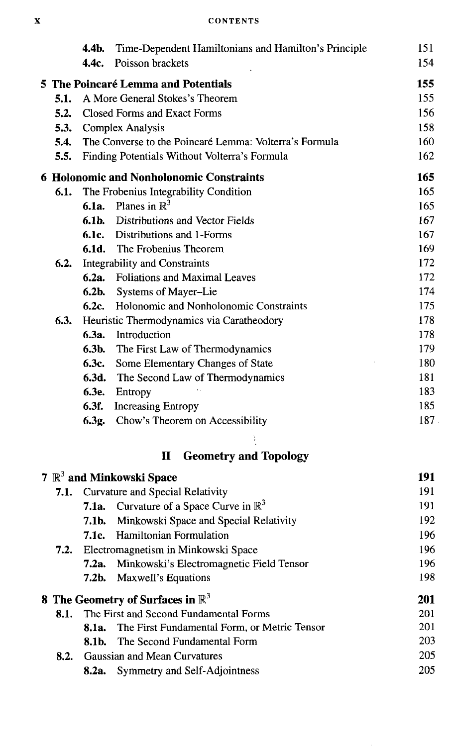| <b>CONTENTS</b> |
|-----------------|
|                 |

|      | 4.4b.            | Time-Dependent Hamiltonians and Hamilton's Principle   | 151 |
|------|------------------|--------------------------------------------------------|-----|
|      | 4.4c.            | Poisson brackets                                       | 154 |
|      |                  | 5 The Poincaré Lemma and Potentials                    | 155 |
| 5.1. |                  | A More General Stokes's Theorem                        | 155 |
| 5.2. |                  | <b>Closed Forms and Exact Forms</b>                    | 156 |
| 5.3. |                  | <b>Complex Analysis</b>                                | 158 |
| 5.4. |                  | The Converse to the Poincaré Lemma: Volterra's Formula | 160 |
| 5.5. |                  | Finding Potentials Without Volterra's Formula          | 162 |
|      |                  | <b>6 Holonomic and Nonholonomic Constraints</b>        | 165 |
| 6.1. |                  | The Frobenius Integrability Condition                  | 165 |
|      | 6.1a.            | Planes in $\mathbb{R}^3$                               | 165 |
|      | 6.1 <sub>b</sub> | Distributions and Vector Fields                        | 167 |
|      |                  | <b>6.1c.</b> Distributions and 1-Forms                 | 167 |
|      |                  | <b>6.1d.</b> The Frobenius Theorem                     | 169 |
| 6.2. |                  | <b>Integrability and Constraints</b>                   | 172 |
|      | 6.2a.            | <b>Foliations and Maximal Leaves</b>                   | 172 |
|      | $6.2b$ .         | Systems of Mayer-Lie                                   | 174 |
|      | 6.2c             | Holonomic and Nonholonomic Constraints                 | 175 |
| 6.3. |                  | Heuristic Thermodynamics via Caratheodory              | 178 |
|      | 6.3a.            | Introduction                                           | 178 |
|      | 6.3b.            | The First Law of Thermodynamics                        | 179 |
|      | 6.3c.            | Some Elementary Changes of State                       | 180 |
|      |                  | <b>6.3d.</b> The Second Law of Thermodynamics          | 181 |
|      | 6.3e.            | Entropy                                                | 183 |
|      | 6.3f.            | <b>Increasing Entropy</b>                              | 185 |
|      |                  | 6.3g. Chow's Theorem on Accessibility                  | 187 |
|      |                  | <b>Geometry and Topology</b><br>П                      |     |
|      |                  | $7 \mathbb{R}^3$ and Minkowski Space                   | 191 |
| 7.1. |                  | Curvature and Special Relativity                       | 191 |
|      | 7.1a.            | Curvature of a Space Curve in $\mathbb{R}^3$           | 191 |
|      | 7.1b.            | Minkowski Space and Special Relativity                 | 192 |
|      | 7.1c.            | Hamiltonian Formulation                                | 196 |
| 7.2. |                  | Electromagnetism in Minkowski Space                    | 196 |
|      | 7.2a.            | Minkowski's Electromagnetic Field Tensor               | 196 |
|      | $7.2b$ .         | Maxwell's Equations                                    | 198 |
|      |                  | 8 The Geometry of Surfaces in $\mathbb{R}^3$           | 201 |
| 8.1. |                  | The First and Second Fundamental Forms                 | 201 |
|      | 8.1a.            | The First Fundamental Form, or Metric Tensor           | 201 |
|      | 8.1b.            | The Second Fundamental Form                            | 203 |
| 8.2. |                  | Gaussian and Mean Curvatures                           | 205 |
|      |                  | 8.2a. Symmetry and Self-Adjointness                    | 205 |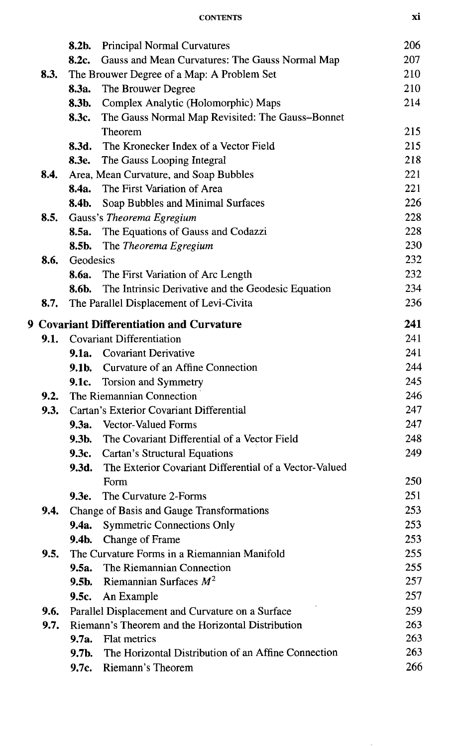| <b>CONTENTS</b> |  |
|-----------------|--|
|                 |  |

|                                                         | 8.2b.                                      | <b>Principal Normal Curvatures</b>                     | 206 |  |  |
|---------------------------------------------------------|--------------------------------------------|--------------------------------------------------------|-----|--|--|
|                                                         | 8.2c.                                      | Gauss and Mean Curvatures: The Gauss Normal Map        | 207 |  |  |
| 8.3.                                                    | The Brouwer Degree of a Map: A Problem Set |                                                        |     |  |  |
|                                                         | 8.3a.                                      | The Brouwer Degree                                     | 210 |  |  |
|                                                         | 8.3b.                                      | Complex Analytic (Holomorphic) Maps                    | 214 |  |  |
|                                                         | 8.3c.                                      | The Gauss Normal Map Revisited: The Gauss-Bonnet       |     |  |  |
|                                                         |                                            | Theorem                                                | 215 |  |  |
|                                                         | 8.3d.                                      | The Kronecker Index of a Vector Field                  | 215 |  |  |
|                                                         |                                            | 8.3e. The Gauss Looping Integral                       | 218 |  |  |
| 8.4.                                                    |                                            | Area, Mean Curvature, and Soap Bubbles                 | 221 |  |  |
|                                                         | 8.4a.                                      | The First Variation of Area                            | 221 |  |  |
|                                                         | 8.4b.                                      | Soap Bubbles and Minimal Surfaces                      | 226 |  |  |
| 8.5.                                                    |                                            | Gauss's Theorema Egregium                              | 228 |  |  |
|                                                         | 8.5a.                                      | The Equations of Gauss and Codazzi                     | 228 |  |  |
|                                                         | 8.5b.                                      | The Theorema Egregium                                  | 230 |  |  |
| 8.6.                                                    | Geodesics                                  |                                                        | 232 |  |  |
|                                                         |                                            | 8.6a. The First Variation of Arc Length                | 232 |  |  |
|                                                         | 8.6b.                                      | The Intrinsic Derivative and the Geodesic Equation     | 234 |  |  |
| 8.7.                                                    |                                            | The Parallel Displacement of Levi-Civita               | 236 |  |  |
| 241<br><b>9 Covariant Differentiation and Curvature</b> |                                            |                                                        |     |  |  |
| 9.1.                                                    |                                            | <b>Covariant Differentiation</b>                       | 241 |  |  |
|                                                         |                                            | 9.1a. Covariant Derivative                             | 241 |  |  |
|                                                         | 9.1b.                                      | Curvature of an Affine Connection                      | 244 |  |  |
|                                                         | 9.1c.                                      | Torsion and Symmetry                                   | 245 |  |  |
| 9.2.                                                    |                                            | The Riemannian Connection                              | 246 |  |  |
| 9.3.                                                    |                                            | Cartan's Exterior Covariant Differential               | 247 |  |  |
|                                                         |                                            | 9.3a. Vector-Valued Forms                              | 247 |  |  |
|                                                         | $9.3b$ .                                   | The Covariant Differential of a Vector Field           | 248 |  |  |
|                                                         | 9.3c.                                      | <b>Cartan's Structural Equations</b>                   | 249 |  |  |
|                                                         | 9.3d.                                      | The Exterior Covariant Differential of a Vector-Valued |     |  |  |
|                                                         |                                            | Form                                                   | 250 |  |  |
|                                                         | 9.3е.                                      | The Curvature 2-Forms                                  | 251 |  |  |
| 9.4.                                                    |                                            | Change of Basis and Gauge Transformations              | 253 |  |  |
|                                                         | 9.4a.                                      | <b>Symmetric Connections Only</b>                      | 253 |  |  |
|                                                         | 9.4b.                                      | Change of Frame                                        | 253 |  |  |
| 9.5.                                                    |                                            | The Curvature Forms in a Riemannian Manifold           | 255 |  |  |
|                                                         | 9.5a.                                      | The Riemannian Connection                              | 255 |  |  |
|                                                         | 9.5b.                                      | Riemannian Surfaces $M^2$                              | 257 |  |  |
|                                                         | 9.5c.                                      | An Example                                             | 257 |  |  |
| 9.6.                                                    |                                            | Parallel Displacement and Curvature on a Surface       | 259 |  |  |
| 9.7.                                                    |                                            | Riemann's Theorem and the Horizontal Distribution      | 263 |  |  |
|                                                         | 9.7a.                                      | Flat metrics                                           | 263 |  |  |
|                                                         | 9.7b.                                      | The Horizontal Distribution of an Affine Connection    | 263 |  |  |
|                                                         | 9.7c.                                      | Riemann's Theorem                                      | 266 |  |  |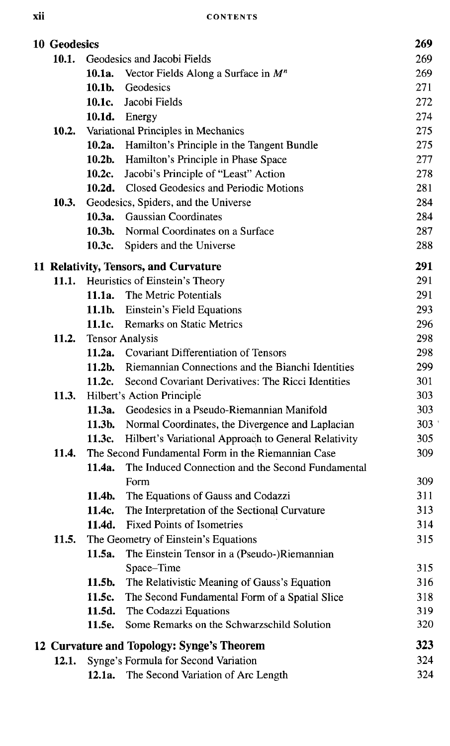| <b>10 Geodesics</b> |           | 269                                                       |     |
|---------------------|-----------|-----------------------------------------------------------|-----|
| 10.1.               |           | Geodesics and Jacobi Fields                               | 269 |
|                     | 10.1a.    | Vector Fields Along a Surface in $M^n$                    | 269 |
|                     | $10.1b$ . | Geodesics                                                 | 271 |
|                     |           | 10.1c. Jacobi Fields                                      | 272 |
|                     |           | 10.1d. Energy                                             | 274 |
| 10.2.               |           | Variational Principles in Mechanics                       | 275 |
|                     |           | 10.2a. Hamilton's Principle in the Tangent Bundle         | 275 |
|                     |           | 10.2b. Hamilton's Principle in Phase Space                | 277 |
|                     | 10.2c.    | Jacobi's Principle of "Least" Action                      | 278 |
|                     |           | 10.2d. Closed Geodesics and Periodic Motions              | 281 |
| 10.3.               |           | Geodesics, Spiders, and the Universe                      | 284 |
|                     |           | 10.3a. Gaussian Coordinates                               | 284 |
|                     | $10.3b$ . | Normal Coordinates on a Surface                           | 287 |
|                     | 10.3c.    | Spiders and the Universe                                  | 288 |
|                     |           | 11 Relativity, Tensors, and Curvature                     | 291 |
|                     |           | 11.1. Heuristics of Einstein's Theory                     | 291 |
|                     |           | 11.1a. The Metric Potentials                              | 291 |
|                     |           | <b>11.1b.</b> Einstein's Field Equations                  | 293 |
|                     |           | 11.1c. Remarks on Static Metrics                          | 296 |
| 11.2.               |           | <b>Tensor Analysis</b>                                    | 298 |
|                     |           | 11.2a. Covariant Differentiation of Tensors               | 298 |
|                     |           | 11.2b. Riemannian Connections and the Bianchi Identities  | 299 |
|                     |           | 11.2c. Second Covariant Derivatives: The Ricci Identities | 301 |
| <b>11.3.</b>        |           | Hilbert's Action Principle                                | 303 |
|                     |           | 11.3a. Geodesics in a Pseudo-Riemannian Manifold          | 303 |
|                     |           | 11.3b. Normal Coordinates, the Divergence and Laplacian   | 303 |
|                     | 11.3c.    | Hilbert's Variational Approach to General Relativity      | 305 |
| 11.4.               |           | The Second Fundamental Form in the Riemannian Case        | 309 |
|                     | 11.4a.    | The Induced Connection and the Second Fundamental         |     |
|                     |           | Form                                                      | 309 |
|                     | $11.4b$ . | The Equations of Gauss and Codazzi                        | 311 |
|                     | 11.4c.    | The Interpretation of the Sectional Curvature             | 313 |
|                     | 11.4d.    | <b>Fixed Points of Isometries</b>                         | 314 |
| 11.5.               |           | The Geometry of Einstein's Equations                      | 315 |
|                     | 11.5a.    | The Einstein Tensor in a (Pseudo-)Riemannian              |     |
|                     |           | Space-Time                                                | 315 |
|                     | 11.5b.    | The Relativistic Meaning of Gauss's Equation              | 316 |
|                     | 11.5c.    | The Second Fundamental Form of a Spatial Slice            | 318 |
|                     | 11.5d.    | The Codazzi Equations                                     | 319 |
|                     | 11.5e.    | Some Remarks on the Schwarzschild Solution                | 320 |
|                     |           | 12 Curvature and Topology: Synge's Theorem                | 323 |
| 12.1.               |           | Synge's Formula for Second Variation                      | 324 |
|                     | 12.1a.    | The Second Variation of Arc Length                        | 324 |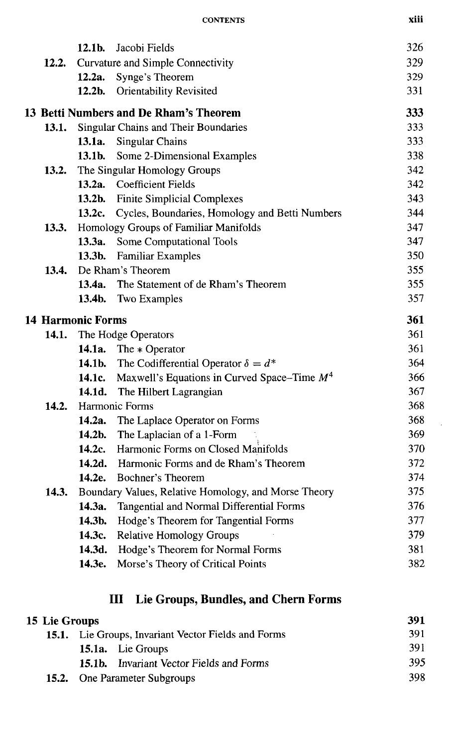| <b>CONTENTS</b> | xiii |
|-----------------|------|
|                 |      |

|                          | 12.1b.    | Jacobi Fields                                               | 326 |
|--------------------------|-----------|-------------------------------------------------------------|-----|
| 12.2.                    |           | Curvature and Simple Connectivity                           | 329 |
|                          | 12.2a.    | Synge's Theorem                                             | 329 |
|                          | $12.2b$ . | <b>Orientability Revisited</b>                              | 331 |
|                          |           | 13 Betti Numbers and De Rham's Theorem                      | 333 |
| 13.1.                    |           | Singular Chains and Their Boundaries                        | 333 |
|                          | 13.1a.    | <b>Singular Chains</b>                                      | 333 |
|                          | 13.1b.    | Some 2-Dimensional Examples                                 | 338 |
| 13.2.                    |           | The Singular Homology Groups                                | 342 |
|                          |           | 13.2a. Coefficient Fields                                   | 342 |
|                          | 13.2b.    | <b>Finite Simplicial Complexes</b>                          | 343 |
|                          |           | 13.2c. Cycles, Boundaries, Homology and Betti Numbers       | 344 |
| 13.3.                    |           | Homology Groups of Familiar Manifolds                       | 347 |
|                          | 13.3a.    | Some Computational Tools                                    | 347 |
|                          | 13.3b.    | <b>Familiar Examples</b>                                    | 350 |
| 13.4.                    |           | De Rham's Theorem                                           | 355 |
|                          | 13.4a.    | The Statement of de Rham's Theorem                          | 355 |
|                          | 13.4b.    | Two Examples                                                | 357 |
| <b>14 Harmonic Forms</b> |           |                                                             | 361 |
| 14.1.                    |           | The Hodge Operators                                         | 361 |
|                          |           | 14.1a. The $*$ Operator                                     | 361 |
|                          |           | <b>14.1b.</b> The Codifferential Operator $\delta = d^*$    | 364 |
|                          |           | <b>14.1c.</b> Maxwell's Equations in Curved Space–Time $M4$ | 366 |
|                          |           | 14.1d. The Hilbert Lagrangian                               | 367 |
| 14.2.                    |           | Harmonic Forms                                              | 368 |
|                          |           | 14.2a. The Laplace Operator on Forms                        | 368 |
|                          |           | 14.2b. The Laplacian of a 1-Form                            | 369 |
|                          | 14.2c.    | Harmonic Forms on Closed Manifolds                          | 370 |
|                          |           | 14.2d. Harmonic Forms and de Rham's Theorem                 | 372 |
|                          | 14.2e.    | Bochner's Theorem                                           | 374 |
| 14.3.                    |           | Boundary Values, Relative Homology, and Morse Theory        | 375 |
|                          | 14.3a.    | Tangential and Normal Differential Forms                    | 376 |
|                          | 14.3b.    | Hodge's Theorem for Tangential Forms                        | 377 |
|                          | 14.3c.    | <b>Relative Homology Groups</b>                             | 379 |
|                          |           | 14.3d. Hodge's Theorem for Normal Forms                     | 381 |
|                          | 14.3e.    | Morse's Theory of Critical Points                           | 382 |
|                          |           |                                                             |     |

 $\epsilon$ 

## III Lie Groups, Bundles, and Chern Forms

| 15 Lie Groups |                                                            | 391                                             |     |
|---------------|------------------------------------------------------------|-------------------------------------------------|-----|
|               | <b>15.1.</b> Lie Groups, Invariant Vector Fields and Forms | 391                                             |     |
|               |                                                            | <b>15.1a.</b> Lie Groups                        | 391 |
|               |                                                            | <b>15.1b.</b> Invariant Vector Fields and Forms | 395 |
|               |                                                            | <b>15.2.</b> One Parameter Subgroups            | 398 |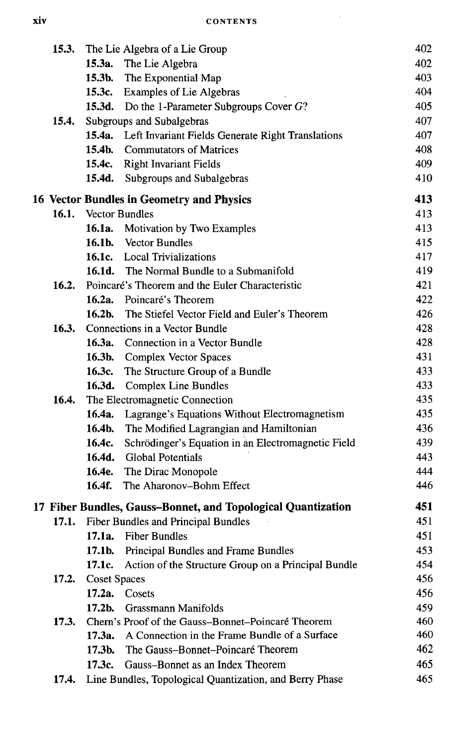$\sim 10^7$ 

| 15.3.        |                     | The Lie Algebra of a Lie Group                               | 402 |
|--------------|---------------------|--------------------------------------------------------------|-----|
|              |                     | 15.3a. The Lie Algebra                                       | 402 |
|              |                     | 15.3b. The Exponential Map                                   | 403 |
|              |                     | 15.3c. Examples of Lie Algebras                              | 404 |
|              |                     | 15.3d. Do the 1-Parameter Subgroups Cover G?                 | 405 |
| 15.4.        |                     | Subgroups and Subalgebras                                    | 407 |
|              |                     | 15.4a. Left Invariant Fields Generate Right Translations     | 407 |
|              |                     | <b>15.4b.</b> Commutators of Matrices                        | 408 |
|              |                     | 15.4c. Right Invariant Fields                                | 409 |
|              |                     | 15.4d. Subgroups and Subalgebras                             | 410 |
|              |                     | 16 Vector Bundles in Geometry and Physics                    | 413 |
|              |                     | 16.1. Vector Bundles                                         | 413 |
|              |                     | 16.1a. Motivation by Two Examples                            | 413 |
|              |                     | <b>16.1b.</b> Vector Bundles                                 | 415 |
|              |                     | 16.1c. Local Trivializations                                 | 417 |
|              |                     | <b>16.1d.</b> The Normal Bundle to a Submanifold             | 419 |
| 16.2.        |                     | Poincaré's Theorem and the Euler Characteristic              | 421 |
|              |                     | 16.2a. Poincaré's Theorem                                    | 422 |
|              |                     | <b>16.2b.</b> The Stiefel Vector Field and Euler's Theorem   | 426 |
| 16.3.        |                     | Connections in a Vector Bundle                               | 428 |
|              |                     | 16.3a. Connection in a Vector Bundle                         | 428 |
|              |                     | 16.3b. Complex Vector Spaces                                 | 431 |
|              |                     | 16.3c. The Structure Group of a Bundle                       | 433 |
|              |                     | 16.3d. Complex Line Bundles                                  | 433 |
| 16.4.        |                     | The Electromagnetic Connection                               | 435 |
|              |                     | 16.4a. Lagrange's Equations Without Electromagnetism         | 435 |
|              |                     | 16.4b. The Modified Lagrangian and Hamiltonian               | 436 |
|              | 16.4c.              | Schrödinger's Equation in an Electromagnetic Field           | 439 |
|              | 16.4d.              | <b>Global Potentials</b>                                     | 443 |
|              |                     | 16.4e. The Dirac Monopole                                    | 444 |
|              |                     | <b>16.4f.</b> The Aharonov-Bohm Effect                       | 446 |
|              |                     | 17 Fiber Bundles, Gauss-Bonnet, and Topological Quantization | 451 |
| 17.1.        |                     | Fiber Bundles and Principal Bundles                          | 451 |
|              |                     | 17.1a. Fiber Bundles                                         | 451 |
|              | 17.1b.              | Principal Bundles and Frame Bundles                          | 453 |
|              | 17.1c.              | Action of the Structure Group on a Principal Bundle          | 454 |
| <b>17.2.</b> | <b>Coset Spaces</b> |                                                              | 456 |
|              |                     | 17.2a. Cosets                                                | 456 |
|              | $17.2b$ .           | Grassmann Manifolds                                          | 459 |
| 17.3.        |                     | Chern's Proof of the Gauss-Bonnet-Poincaré Theorem           | 460 |
|              | 17.3a.              | A Connection in the Frame Bundle of a Surface                | 460 |
|              | $17.3b$ .           | The Gauss-Bonnet-Poincaré Theorem                            | 462 |
|              | 17.3c.              | Gauss-Bonnet as an Index Theorem                             | 465 |
| 17.4.        |                     | Line Bundles, Topological Quantization, and Berry Phase      | 465 |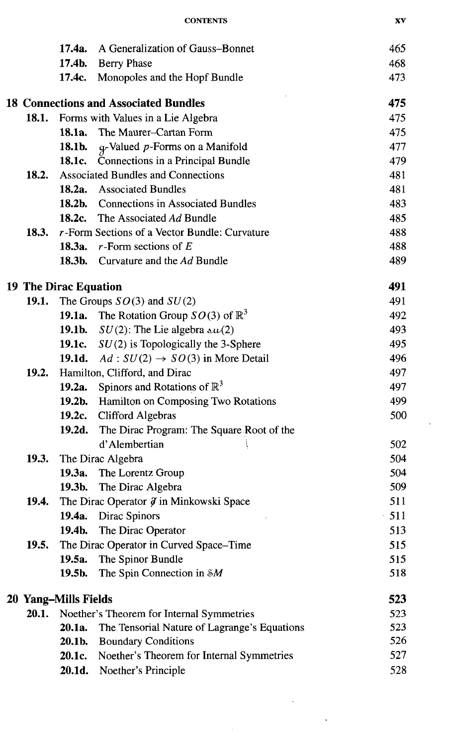|              |                       | <b>CONTENTS</b>                                            | XV  |
|--------------|-----------------------|------------------------------------------------------------|-----|
|              | 17.4a.                | A Generalization of Gauss-Bonnet                           | 465 |
|              | 17.4b.                | <b>Berry Phase</b>                                         | 468 |
|              | 17.4c.                | Monopoles and the Hopf Bundle                              | 473 |
|              |                       | <b>18 Connections and Associated Bundles</b>               | 475 |
| 18.1.        |                       | Forms with Values in a Lie Algebra                         | 475 |
|              | 18.1a.                | The Maurer-Cartan Form                                     | 475 |
|              | 18.1b.                | g-Valued p-Forms on a Manifold                             | 477 |
|              | 18.1c.                | Connections in a Principal Bundle                          | 479 |
| 18.2.        |                       | <b>Associated Bundles and Connections</b>                  | 481 |
|              |                       | <b>18.2a.</b> Associated Bundles                           | 481 |
|              |                       | 18.2b. Connections in Associated Bundles                   | 483 |
|              | 18.2c.                | The Associated Ad Bundle                                   | 485 |
| 18.3.        |                       | $r$ -Form Sections of a Vector Bundle: Curvature           | 488 |
|              |                       | 18.3a. $r$ -Form sections of E                             | 488 |
|              |                       | 18.3b. Curvature and the Ad Bundle                         | 489 |
|              | 19 The Dirac Equation |                                                            | 491 |
| 19.1.        |                       | The Groups $SO(3)$ and $SU(2)$                             | 491 |
|              |                       | <b>19.1a.</b> The Rotation Group $SO(3)$ of $\mathbb{R}^3$ | 492 |
|              |                       | 19.1b. $SU(2)$ : The Lie algebra $\Delta u(2)$             | 493 |
|              |                       | 19.1c. $SU(2)$ is Topologically the 3-Sphere               | 495 |
|              |                       | 19.1d. Ad : $SU(2) \rightarrow SO(3)$ in More Detail       | 496 |
| 19.2.        |                       | Hamilton, Clifford, and Dirac                              | 497 |
|              |                       | <b>19.2a.</b> Spinors and Rotations of $\mathbb{R}^3$      | 497 |
|              |                       | 19.2b. Hamilton on Composing Two Rotations                 | 499 |
|              |                       | 19.2c. Clifford Algebras                                   | 500 |
|              | 19.2d.                | The Dirac Program: The Square Root of the                  |     |
|              |                       | d'Alembertian                                              | 502 |
| <b>19.3.</b> |                       | The Dirac Algebra                                          | 504 |
|              |                       | 19.3a. The Lorentz Group                                   | 504 |
|              | 19.3b.                | The Dirac Algebra                                          | 509 |
| 19.4.        |                       | The Dirac Operator $\hat{y}$ in Minkowski Space            | 511 |
|              |                       | 19.4a. Dirac Spinors                                       | 511 |
|              | 19.4b.                | The Dirac Operator                                         | 513 |
| 19.5.        |                       | The Dirac Operator in Curved Space-Time                    | 515 |
|              | 19.5a.                | The Spinor Bundle                                          | 515 |
|              | 19.5b.                | The Spin Connection in $\delta M$                          | 518 |
|              | 20 Yang–Mills Fields  |                                                            | 523 |
| 20.1.        |                       | Noether's Theorem for Internal Symmetries                  | 523 |
|              | 20.1a.                | The Tensorial Nature of Lagrange's Equations               | 523 |
|              | 20.1b.                | <b>Boundary Conditions</b>                                 | 526 |
|              | 20.1c.                | Noether's Theorem for Internal Symmetries                  | 527 |
|              | 20.1d.                | Noether's Principle                                        | 528 |

 $\mathcal{L}^{\text{max}}_{\text{max}}$ 

 $\mathcal{A}^{\text{max}}_{\text{max}}$ 

 $\epsilon_{\rm{max}}$ 

 $\mathcal{F}(\mathcal{F})$  .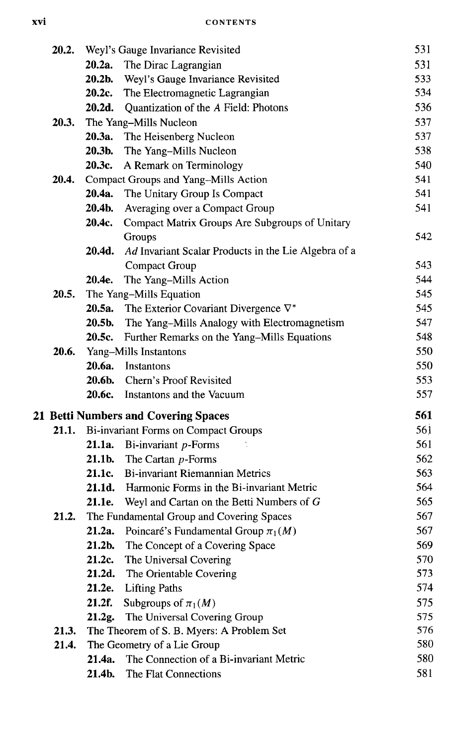| 20.2. |        | Weyl's Gauge Invariance Revisited                    | 531 |
|-------|--------|------------------------------------------------------|-----|
|       | 20.2a. | The Dirac Lagrangian                                 | 531 |
|       | 20.2b. | Weyl's Gauge Invariance Revisited                    | 533 |
|       | 20.2c. | The Electromagnetic Lagrangian                       | 534 |
|       | 20.2d. | Quantization of the A Field: Photons                 | 536 |
| 20.3. |        | The Yang-Mills Nucleon                               | 537 |
|       | 20.3a. | The Heisenberg Nucleon                               | 537 |
|       | 20.3b. | The Yang-Mills Nucleon                               | 538 |
|       | 20.3c. | A Remark on Terminology                              | 540 |
| 20.4. |        | Compact Groups and Yang-Mills Action                 | 541 |
|       | 20.4a. | The Unitary Group Is Compact                         | 541 |
|       | 20.4b. | Averaging over a Compact Group                       | 541 |
|       | 20.4c. | Compact Matrix Groups Are Subgroups of Unitary       |     |
|       |        | Groups                                               | 542 |
|       | 20.4d. | Ad Invariant Scalar Products in the Lie Algebra of a |     |
|       |        | Compact Group                                        | 543 |
|       | 20.4e. | The Yang-Mills Action                                | 544 |
| 20.5. |        | The Yang-Mills Equation                              | 545 |
|       | 20.5a. | The Exterior Covariant Divergence $\nabla^*$         | 545 |
|       | 20.5b. | The Yang-Mills Analogy with Electromagnetism         | 547 |
|       | 20.5c. | Further Remarks on the Yang-Mills Equations          | 548 |
| 20.6. |        | Yang-Mills Instantons                                | 550 |
|       | 20.6a. | <b>Instantons</b>                                    | 550 |
|       | 20.6b. | Chern's Proof Revisited                              | 553 |
|       |        | 20.6c. Instantons and the Vacuum                     | 557 |
|       |        | 21 Betti Numbers and Covering Spaces                 | 561 |
| 21.1. |        | <b>Bi-invariant Forms on Compact Groups</b>          | 561 |
|       | 21.1a. | Bi-invariant p-Forms                                 | 561 |
|       | 21.1b. | The Cartan p-Forms                                   | 562 |
|       | 21.1c. | <b>Bi-invariant Riemannian Metrics</b>               | 563 |
|       |        | 21.1d. Harmonic Forms in the Bi-invariant Metric     | 564 |
|       |        | 21.1e. Weyl and Cartan on the Betti Numbers of G     | 565 |
| 21.2. |        | The Fundamental Group and Covering Spaces            | 567 |
|       | 21.2a. | Poincaré's Fundamental Group $\pi_1(M)$              | 567 |
|       | 21.2b. | The Concept of a Covering Space                      | 569 |
|       | 21.2c. | The Universal Covering                               | 570 |
|       | 21.2d. | The Orientable Covering                              | 573 |
|       | 21.2e. | <b>Lifting Paths</b>                                 | 574 |
|       | 21.2f. | Subgroups of $\pi_1(M)$                              | 575 |
|       | 21.2g. | The Universal Covering Group                         | 575 |
| 21.3. |        | The Theorem of S. B. Myers: A Problem Set            | 576 |
| 21.4. |        | The Geometry of a Lie Group                          | 580 |
|       | 21.4a. | The Connection of a Bi-invariant Metric              | 580 |
|       | 21.4b. | The Flat Connections                                 | 581 |